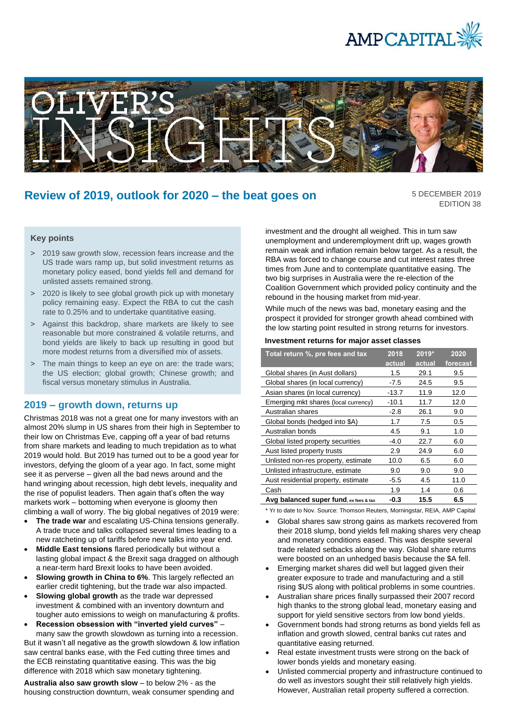



# **Review of 2019, outlook for 2020 – the beat goes on**

5 DECEMBER 2019 EDITION 38

## **Key points**

- > 2019 saw growth slow, recession fears increase and the US trade wars ramp up, but solid investment returns as monetary policy eased, bond yields fell and demand for unlisted assets remained strong.
- > 2020 is likely to see global growth pick up with monetary policy remaining easy. Expect the RBA to cut the cash rate to 0.25% and to undertake quantitative easing.
- > Against this backdrop, share markets are likely to see reasonable but more constrained & volatile returns, and bond yields are likely to back up resulting in good but more modest returns from a diversified mix of assets.
- > The main things to keep an eye on are: the trade wars; the US election; global growth; Chinese growth; and fiscal versus monetary stimulus in Australia.

### **2019 – growth down, returns up**

Christmas 2018 was not a great one for many investors with an almost 20% slump in US shares from their high in September to their low on Christmas Eve, capping off a year of bad returns from share markets and leading to much trepidation as to what 2019 would hold. But 2019 has turned out to be a good year for investors, defying the gloom of a year ago. In fact, some might see it as perverse – given all the bad news around and the hand wringing about recession, high debt levels, inequality and the rise of populist leaders. Then again that's often the way markets work – bottoming when everyone is gloomy then climbing a wall of worry. The big global negatives of 2019 were:

- **The trade war** and escalating US-China tensions generally. A trade truce and talks collapsed several times leading to a new ratcheting up of tariffs before new talks into year end.
- **Middle East tensions** flared periodically but without a lasting global impact & the Brexit saga dragged on although a near-term hard Brexit looks to have been avoided.
- **Slowing growth in China to 6%**. This largely reflected an earlier credit tightening, but the trade war also impacted.
- **Slowing global growth** as the trade war depressed investment & combined with an inventory downturn and tougher auto emissions to weigh on manufacturing & profits.
- **Recession obsession with "inverted yield curves"** –

many saw the growth slowdown as turning into a recession. But it wasn't all negative as the growth slowdown & low inflation saw central banks ease, with the Fed cutting three times and the ECB reinstating quantitative easing. This was the big difference with 2018 which saw monetary tightening.

**Australia also saw growth slow** – to below 2% - as the housing construction downturn, weak consumer spending and investment and the drought all weighed. This in turn saw unemployment and underemployment drift up, wages growth remain weak and inflation remain below target. As a result, the RBA was forced to change course and cut interest rates three times from June and to contemplate quantitative easing. The two big surprises in Australia were the re-election of the Coalition Government which provided policy continuity and the rebound in the housing market from mid-year.

While much of the news was bad, monetary easing and the prospect it provided for stronger growth ahead combined with the low starting point resulted in strong returns for investors.

#### **Investment returns for major asset classes**

| Total return %, pre fees and tax       | 2018    | $2019*$ | 2020     |
|----------------------------------------|---------|---------|----------|
|                                        | actual  | actual  | forecast |
| Global shares (in Aust dollars)        | 1.5     | 29.1    | 9.5      |
| Global shares (in local currency)      | $-7.5$  | 24.5    | 9.5      |
| Asian shares (in local currency)       | $-13.7$ | 11.9    | 12.0     |
| Emerging mkt shares (local currency)   | $-10.1$ | 11.7    | 12.0     |
| Australian shares                      | $-2.8$  | 26.1    | 9.0      |
| Global bonds (hedged into \$A)         | 1.7     | 7.5     | 0.5      |
| Australian bonds                       | 4.5     | 9.1     | 1.0      |
| Global listed property securities      | $-4.0$  | 22.7    | 6.0      |
| Aust listed property trusts            | 2.9     | 24.9    | 6.0      |
| Unlisted non-res property, estimate    | 10.0    | 6.5     | 6.0      |
| Unlisted infrastructure, estimate      | 9.0     | 9.0     | 9.0      |
| Aust residential property, estimate    | $-5.5$  | 4.5     | 11.0     |
| Cash                                   | 1.9     | 1.4     | 0.6      |
| Avg balanced super fund, ex fees & tax | -0.3    | 15.5    | 6.5      |

\* Yr to date to Nov. Source: Thomson Reuters, Morningstar, REIA, AMP Capital

- Global shares saw strong gains as markets recovered from their 2018 slump, bond yields fell making shares very cheap and monetary conditions eased. This was despite several trade related setbacks along the way. Global share returns were boosted on an unhedged basis because the \$A fell.
- Emerging market shares did well but lagged given their greater exposure to trade and manufacturing and a still rising \$US along with political problems in some countries.
- Australian share prices finally surpassed their 2007 record high thanks to the strong global lead, monetary easing and support for yield sensitive sectors from low bond yields.
- Government bonds had strong returns as bond yields fell as inflation and growth slowed, central banks cut rates and quantitative easing returned.
- Real estate investment trusts were strong on the back of lower bonds yields and monetary easing.
- Unlisted commercial property and infrastructure continued to do well as investors sought their still relatively high yields. However, Australian retail property suffered a correction.